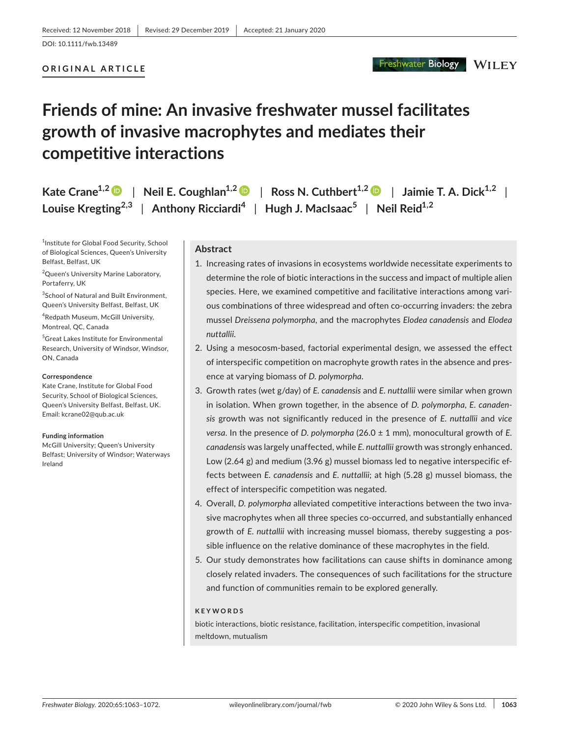# **ORIGINAL ARTICLE**

**Freshwater Biology** 

**WILEY** 

# **Friends of mine: An invasive freshwater mussel facilitates growth of invasive macrophytes and mediates their competitive interactions**

**Kate Crane<sup>1,[2](https://orcid.org/0000-0003-2770-254X)</sup>**  $\bullet$  **| Neil E. Coughlan<sup>1,2</sup>**  $\bullet$  **| Ross N. Cuthbert<sup>1,2</sup>**  $\bullet$  **| Jaimie T. A. Dick<sup>1,2</sup> | Louise Kregting2,3** | **Anthony Ricciardi<sup>4</sup>** | **Hugh J. MacIsaac<sup>5</sup>** | **Neil Reid1,2**

1 Institute for Global Food Security, School of Biological Sciences, Queen's University Belfast, Belfast, UK

2 Queen's University Marine Laboratory, Portaferry, UK

<sup>3</sup>School of Natural and Built Environment, Queen's University Belfast, Belfast, UK

4 Redpath Museum, McGill University, Montreal, QC, Canada

5 Great Lakes Institute for Environmental Research, University of Windsor, Windsor, ON, Canada

#### **Correspondence**

Kate Crane, Institute for Global Food Security, School of Biological Sciences, Queen's University Belfast, Belfast, UK. Email: [kcrane02@qub.ac.uk](mailto:kcrane02@qub.ac.uk)

#### **Funding information**

McGill University; Queen's University Belfast; University of Windsor; Waterways Ireland

# **Abstract**

- 1. Increasing rates of invasions in ecosystems worldwide necessitate experiments to determine the role of biotic interactions in the success and impact of multiple alien species. Here, we examined competitive and facilitative interactions among various combinations of three widespread and often co-occurring invaders: the zebra mussel *Dreissena polymorpha*, and the macrophytes *Elodea canadensis* and *Elodea nuttallii*.
- 2. Using a mesocosm-based, factorial experimental design, we assessed the effect of interspecific competition on macrophyte growth rates in the absence and presence at varying biomass of *D. polymorpha*.
- 3. Growth rates (wet g/day) of *E. canadensis* and *E. nuttallii* were similar when grown in isolation. When grown together, in the absence of *D. polymorpha*, *E. canadensis* growth was not significantly reduced in the presence of *E. nuttallii* and *vice versa*. In the presence of *D. polymorpha* (26.0 ± 1 mm), monocultural growth of *E. canadensis* was largely unaffected, while *E. nuttallii* growth was strongly enhanced. Low (2.64 g) and medium (3.96 g) mussel biomass led to negative interspecific effects between *E. canadensis* and *E. nuttallii*; at high (5.28 g) mussel biomass, the effect of interspecific competition was negated.
- 4. Overall, *D. polymorpha* alleviated competitive interactions between the two invasive macrophytes when all three species co-occurred, and substantially enhanced growth of *E. nuttallii* with increasing mussel biomass, thereby suggesting a possible influence on the relative dominance of these macrophytes in the field.
- 5. Our study demonstrates how facilitations can cause shifts in dominance among closely related invaders. The consequences of such facilitations for the structure and function of communities remain to be explored generally.

#### **KEYWORDS**

biotic interactions, biotic resistance, facilitation, interspecific competition, invasional meltdown, mutualism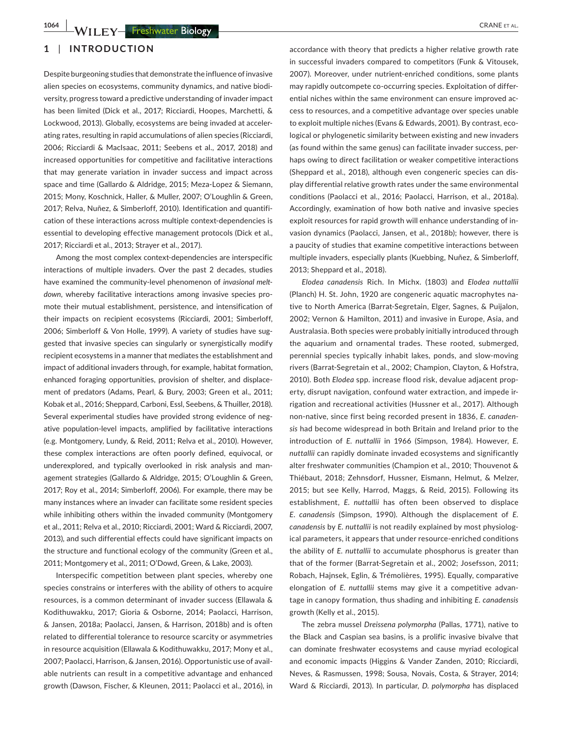# **1** | **INTRODUCTION**

Despite burgeoning studies that demonstrate the influence of invasive alien species on ecosystems, community dynamics, and native biodiversity, progress toward a predictive understanding of invader impact has been limited (Dick et al., 2017; Ricciardi, Hoopes, Marchetti, & Lockwood, 2013). Globally, ecosystems are being invaded at accelerating rates, resulting in rapid accumulations of alien species (Ricciardi, 2006; Ricciardi & MacIsaac, 2011; Seebens et al., 2017, 2018) and increased opportunities for competitive and facilitative interactions that may generate variation in invader success and impact across space and time (Gallardo & Aldridge, 2015; Meza-Lopez & Siemann, 2015; Mony, Koschnick, Haller, & Muller, 2007; O'Loughlin & Green, 2017; Relva, Nuñez, & Simberloff, 2010). Identification and quantification of these interactions across multiple context-dependencies is essential to developing effective management protocols (Dick et al., 2017; Ricciardi et al., 2013; Strayer et al., 2017).

Among the most complex context-dependencies are interspecific interactions of multiple invaders. Over the past 2 decades, studies have examined the community-level phenomenon of *invasional meltdown*, whereby facilitative interactions among invasive species promote their mutual establishment, persistence, and intensification of their impacts on recipient ecosystems (Ricciardi, 2001; Simberloff, 2006; Simberloff & Von Holle, 1999). A variety of studies have suggested that invasive species can singularly or synergistically modify recipient ecosystems in a manner that mediates the establishment and impact of additional invaders through, for example, habitat formation, enhanced foraging opportunities, provision of shelter, and displacement of predators (Adams, Pearl, & Bury, 2003; Green et al., 2011; Kobak et al., 2016; Sheppard, Carboni, Essl, Seebens, & Thuiller, 2018). Several experimental studies have provided strong evidence of negative population-level impacts, amplified by facilitative interactions (e.g. Montgomery, Lundy, & Reid, 2011; Relva et al., 2010). However, these complex interactions are often poorly defined, equivocal, or underexplored, and typically overlooked in risk analysis and management strategies (Gallardo & Aldridge, 2015; O'Loughlin & Green, 2017; Roy et al., 2014; Simberloff, 2006). For example, there may be many instances where an invader can facilitate some resident species while inhibiting others within the invaded community (Montgomery et al., 2011; Relva et al., 2010; Ricciardi, 2001; Ward & Ricciardi, 2007, 2013), and such differential effects could have significant impacts on the structure and functional ecology of the community (Green et al., 2011; Montgomery et al., 2011; O'Dowd, Green, & Lake, 2003).

Interspecific competition between plant species, whereby one species constrains or interferes with the ability of others to acquire resources, is a common determinant of invader success (Ellawala & Kodithuwakku, 2017; Gioria & Osborne, 2014; Paolacci, Harrison, & Jansen, 2018a; Paolacci, Jansen, & Harrison, 2018b) and is often related to differential tolerance to resource scarcity or asymmetries in resource acquisition (Ellawala & Kodithuwakku, 2017; Mony et al., 2007; Paolacci, Harrison, & Jansen, 2016). Opportunistic use of available nutrients can result in a competitive advantage and enhanced growth (Dawson, Fischer, & Kleunen, 2011; Paolacci et al., 2016), in

accordance with theory that predicts a higher relative growth rate in successful invaders compared to competitors (Funk & Vitousek, 2007). Moreover, under nutrient-enriched conditions, some plants may rapidly outcompete co-occurring species. Exploitation of differential niches within the same environment can ensure improved access to resources, and a competitive advantage over species unable to exploit multiple niches (Evans & Edwards, 2001). By contrast, ecological or phylogenetic similarity between existing and new invaders (as found within the same genus) can facilitate invader success, perhaps owing to direct facilitation or weaker competitive interactions (Sheppard et al., 2018), although even congeneric species can display differential relative growth rates under the same environmental conditions (Paolacci et al., 2016; Paolacci, Harrison, et al., 2018a). Accordingly, examination of how both native and invasive species exploit resources for rapid growth will enhance understanding of invasion dynamics (Paolacci, Jansen, et al., 2018b); however, there is a paucity of studies that examine competitive interactions between multiple invaders, especially plants (Kuebbing, Nuñez, & Simberloff, 2013; Sheppard et al., 2018).

*Elodea canadensis* Rich. In Michx. (1803) and *Elodea nuttallii* (Planch) H. St. John, 1920 are congeneric aquatic macrophytes native to North America (Barrat-Segretain, Elger, Sagnes, & Puijalon, 2002; Vernon & Hamilton, 2011) and invasive in Europe, Asia, and Australasia. Both species were probably initially introduced through the aquarium and ornamental trades. These rooted, submerged, perennial species typically inhabit lakes, ponds, and slow-moving rivers (Barrat-Segretain et al., 2002; Champion, Clayton, & Hofstra, 2010). Both *Elodea* spp. increase flood risk, devalue adjacent property, disrupt navigation, confound water extraction, and impede irrigation and recreational activities (Hussner et al., 2017). Although non-native, since first being recorded present in 1836, *E. canadensis* had become widespread in both Britain and Ireland prior to the introduction of *E. nuttallii* in 1966 (Simpson, 1984). However, *E. nuttallii* can rapidly dominate invaded ecosystems and significantly alter freshwater communities (Champion et al., 2010; Thouvenot & Thiébaut, 2018; Zehnsdorf, Hussner, Eismann, Helmut, & Melzer, 2015; but see Kelly, Harrod, Maggs, & Reid, 2015). Following its establishment, *E. nuttallii* has often been observed to displace *E. canadensis* (Simpson, 1990). Although the displacement of *E. canadensis* by *E. nuttallii* is not readily explained by most physiological parameters, it appears that under resource-enriched conditions the ability of *E. nuttallii* to accumulate phosphorus is greater than that of the former (Barrat-Segretain et al., 2002; Josefsson, 2011; Robach, Hajnsek, Eglin, & Trémolières, 1995). Equally, comparative elongation of *E. nuttallii* stems may give it a competitive advantage in canopy formation, thus shading and inhibiting *E. canadensis* growth (Kelly et al., 2015).

The zebra mussel *Dreissena polymorpha* (Pallas, 1771), native to the Black and Caspian sea basins, is a prolific invasive bivalve that can dominate freshwater ecosystems and cause myriad ecological and economic impacts (Higgins & Vander Zanden, 2010; Ricciardi, Neves, & Rasmussen, 1998; Sousa, Novais, Costa, & Strayer, 2014; Ward & Ricciardi, 2013). In particular, *D. polymorpha* has displaced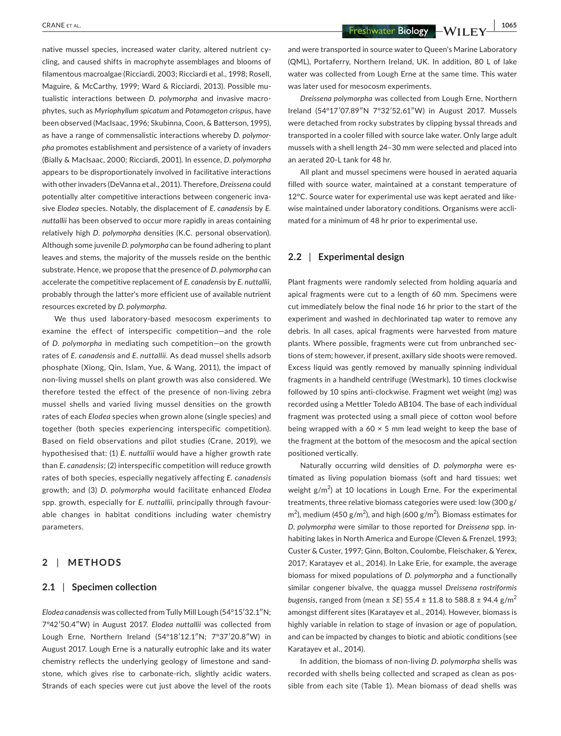native mussel species, increased water clarity, altered nutrient cycling, and caused shifts in macrophyte assemblages and blooms of filamentous macroalgae (Ricciardi, 2003; Ricciardi et al., 1998; Rosell, Maguire, & McCarthy, 1999; Ward & Ricciardi, 2013). Possible mutualistic interactions between *D. polymorpha* and invasive macrophytes, such as *Myriophyllum spicatum* and *Potamogeton crispus,* have been observed (MacIsaac, 1996; Skubinna, Coon, & Batterson, 1995), as have a range of commensalistic interactions whereby *D. polymorpha* promotes establishment and persistence of a variety of invaders (Bially & MacIsaac, 2000; Ricciardi, 2001). In essence, *D. polymorpha* appears to be disproportionately involved in facilitative interactions with other invaders (DeVanna et al., 2011). Therefore, *Dreissena* could potentially alter competitive interactions between congeneric invasive *Elodea* species. Notably, the displacement of *E. canadensis* by *E. nuttallii* has been observed to occur more rapidly in areas containing relatively high *D. polymorpha* densities (K.C. personal observation). Although some juvenile *D. polymorpha* can be found adhering to plant leaves and stems, the majority of the mussels reside on the benthic substrate. Hence, we propose that the presence of *D. polymorpha* can accelerate the competitive replacement of *E. canadensis* by *E. nuttallii*, probably through the latter's more efficient use of available nutrient resources excreted by *D. polymorpha*.

We thus used laboratory-based mesocosm experiments to examine the effect of interspecific competition—and the role of *D. polymorpha* in mediating such competition—on the growth rates of *E. canadensis* and *E. nuttallii*. As dead mussel shells adsorb phosphate (Xiong, Qin, Islam, Yue, & Wang, 2011), the impact of non-living mussel shells on plant growth was also considered. We therefore tested the effect of the presence of non-living zebra mussel shells and varied living mussel densities on the growth rates of each *Elodea* species when grown alone (single species) and together (both species experiencing interspecific competition). Based on field observations and pilot studies (Crane, 2019), we hypothesised that: (1) *E. nuttallii* would have a higher growth rate than *E. canadensis*; (2) interspecific competition will reduce growth rates of both species, especially negatively affecting *E. canadensis* growth; and (3) *D. polymorpha* would facilitate enhanced *Elodea* spp. growth, especially for *E. nuttallii,* principally through favourable changes in habitat conditions including water chemistry parameters.

# **2** | **METHODS**

#### **2.1** | **Specimen collection**

*Elodea canadensis* was collected from Tully Mill Lough (54°15′32.1″N; 7°42′50.4″W) in August 2017. *Elodea nuttallii* was collected from Lough Erne, Northern Ireland (54°18′12.1″N; 7°37′20.8″W) in August 2017. Lough Erne is a naturally eutrophic lake and its water chemistry reflects the underlying geology of limestone and sandstone, which gives rise to carbonate-rich, slightly acidic waters. Strands of each species were cut just above the level of the roots

 **CRANE ET AL. 1065**<br> **EXANE ET AL. 1065**<br> **EXANE ET AL. IDEAS** 

and were transported in source water to Queen's Marine Laboratory (QML), Portaferry, Northern Ireland, UK. In addition, 80 L of lake water was collected from Lough Erne at the same time. This water was later used for mesocosm experiments.

*Dreissena polymorpha* was collected from Lough Erne, Northern Ireland (54°17′07.89″N 7°32′52.61″W) in August 2017. Mussels were detached from rocky substrates by clipping byssal threads and transported in a cooler filled with source lake water. Only large adult mussels with a shell length 24–30 mm were selected and placed into an aerated 20-L tank for 48 hr.

All plant and mussel specimens were housed in aerated aquaria filled with source water, maintained at a constant temperature of 12°C. Source water for experimental use was kept aerated and likewise maintained under laboratory conditions. Organisms were acclimated for a minimum of 48 hr prior to experimental use.

#### **2.2** | **Experimental design**

Plant fragments were randomly selected from holding aquaria and apical fragments were cut to a length of 60 mm. Specimens were cut immediately below the final node 16 hr prior to the start of the experiment and washed in dechlorinated tap water to remove any debris. In all cases, apical fragments were harvested from mature plants. Where possible, fragments were cut from unbranched sections of stem; however, if present, axillary side shoots were removed. Excess liquid was gently removed by manually spinning individual fragments in a handheld centrifuge (Westmark), 10 times clockwise followed by 10 spins anti-clockwise. Fragment wet weight (mg) was recorded using a Mettler Toledo AB104. The base of each individual fragment was protected using a small piece of cotton wool before being wrapped with a 60  $\times$  5 mm lead weight to keep the base of the fragment at the bottom of the mesocosm and the apical section positioned vertically.

Naturally occurring wild densities of *D. polymorpha* were estimated as living population biomass (soft and hard tissues; wet weight  $g/m^2$ ) at 10 locations in Lough Erne. For the experimental treatments, three relative biomass categories were used: low (300 g/  $\rm m^2$ ), medium (450 g/m<sup>2</sup>), and high (600 g/m<sup>2</sup>). Biomass estimates for *D. polymorpha* were similar to those reported for *Dreissena* spp. inhabiting lakes in North America and Europe (Cleven & Frenzel, 1993; Custer & Custer, 1997; Ginn, Bolton, Coulombe, Fleischaker, & Yerex, 2017; Karatayev et al., 2014). In Lake Erie, for example, the average biomass for mixed populations of *D. polymorpha* and a functionally similar congener bivalve, the quagga mussel *Dreissena rostriformis bugensis*, ranged from (mean  $\pm$  *SE*) 55.4  $\pm$  11.8 to 588.8  $\pm$  94.4 g/m<sup>2</sup> amongst different sites (Karatayev et al., 2014). However, biomass is highly variable in relation to stage of invasion or age of population, and can be impacted by changes to biotic and abiotic conditions (see Karatayev et al., 2014).

In addition, the biomass of non-living *D. polymorpha* shells was recorded with shells being collected and scraped as clean as possible from each site (Table 1). Mean biomass of dead shells was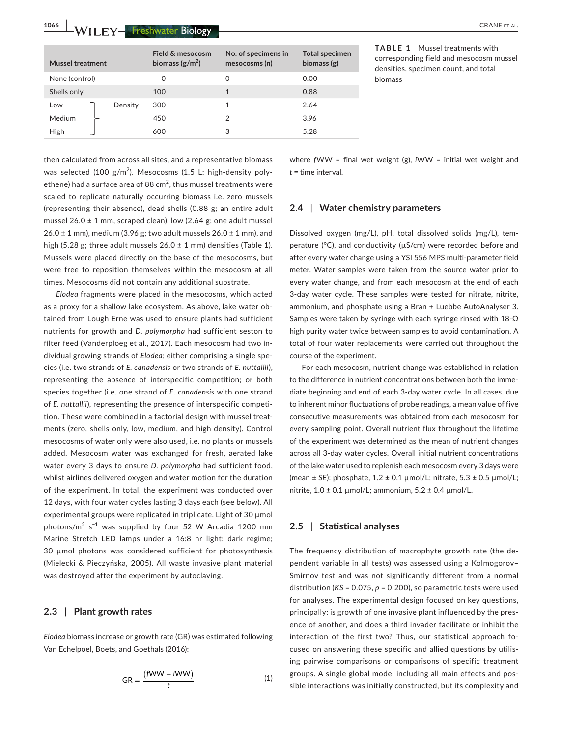**1066 WILFY Freshwater Biology <b>CRANE** ET AL.

| <b>Mussel treatment</b> |         | <b>Field &amp; mesocosm</b><br>biomass $(g/m^2)$ | No. of specimens in<br>mesocosms(n) | <b>Total specimen</b><br>biomass $(g)$ |
|-------------------------|---------|--------------------------------------------------|-------------------------------------|----------------------------------------|
| None (control)          |         | 0                                                | 0                                   | 0.00                                   |
| Shells only             |         | 100                                              | 1                                   | 0.88                                   |
| Low                     | Density | 300                                              |                                     | 2.64                                   |
| Medium                  |         | 450                                              | $\mathfrak{D}$                      | 3.96                                   |
| High                    |         | 600                                              | 3                                   | 5.28                                   |

then calculated from across all sites, and a representative biomass was selected (100 g/m<sup>2</sup>). Mesocosms (1.5 L: high-density polyethene) had a surface area of 88 cm<sup>2</sup>, thus mussel treatments were scaled to replicate naturally occurring biomass i.e. zero mussels (representing their absence), dead shells (0.88 g; an entire adult mussel  $26.0 \pm 1$  mm, scraped clean), low (2.64 g; one adult mussel  $26.0 \pm 1$  mm), medium (3.96 g; two adult mussels  $26.0 \pm 1$  mm), and high (5.28 g; three adult mussels  $26.0 \pm 1$  mm) densities (Table 1). Mussels were placed directly on the base of the mesocosms, but were free to reposition themselves within the mesocosm at all times. Mesocosms did not contain any additional substrate.

*Elodea* fragments were placed in the mesocosms, which acted as a proxy for a shallow lake ecosystem. As above, lake water obtained from Lough Erne was used to ensure plants had sufficient nutrients for growth and *D. polymorpha* had sufficient seston to filter feed (Vanderploeg et al., 2017). Each mesocosm had two individual growing strands of *Elodea*; either comprising a single species (i.e. two strands of *E. canadensis* or two strands of *E. nuttallii*), representing the absence of interspecific competition; or both species together (i.e. one strand of *E. canadensis* with one strand of *E. nuttallii*), representing the presence of interspecific competition. These were combined in a factorial design with mussel treatments (zero, shells only, low, medium, and high density). Control mesocosms of water only were also used, i.e. no plants or mussels added. Mesocosm water was exchanged for fresh, aerated lake water every 3 days to ensure *D. polymorpha* had sufficient food, whilst airlines delivered oxygen and water motion for the duration of the experiment. In total, the experiment was conducted over 12 days, with four water cycles lasting 3 days each (see below). All experimental groups were replicated in triplicate. Light of 30 µmol photons/ $m^2$  s<sup>-1</sup> was supplied by four 52 W Arcadia 1200 mm Marine Stretch LED lamps under a 16:8 hr light: dark regime; 30 µmol photons was considered sufficient for photosynthesis (Mielecki & Pieczyńska, 2005). All waste invasive plant material was destroyed after the experiment by autoclaving.

#### **2.3** | **Plant growth rates**

*Elodea* biomass increase or growth rate (GR) was estimated following Van Echelpoel, Boets, and Goethals (2016):

$$
GR = \frac{(fWW - iWW)}{t}
$$
 (1)

where *f*WW = final wet weight (g), *i*WW = initial wet weight and *t* = time interval.

#### **2.4** | **Water chemistry parameters**

Dissolved oxygen (mg/L), pH, total dissolved solids (mg/L), temperature (°C), and conductivity (µS/cm) were recorded before and after every water change using a YSI 556 MPS multi-parameter field meter. Water samples were taken from the source water prior to every water change, and from each mesocosm at the end of each 3-day water cycle. These samples were tested for nitrate, nitrite, ammonium, and phosphate using a Bran + Luebbe AutoAnalyser 3. Samples were taken by syringe with each syringe rinsed with 18-Ω high purity water twice between samples to avoid contamination. A total of four water replacements were carried out throughout the course of the experiment.

For each mesocosm, nutrient change was established in relation to the difference in nutrient concentrations between both the immediate beginning and end of each 3-day water cycle. In all cases, due to inherent minor fluctuations of probe readings, a mean value of five consecutive measurements was obtained from each mesocosm for every sampling point. Overall nutrient flux throughout the lifetime of the experiment was determined as the mean of nutrient changes across all 3-day water cycles. Overall initial nutrient concentrations of the lake water used to replenish each mesocosm every 3 days were (mean ± *SE*): phosphate, 1.2 ± 0.1 µmol/L; nitrate, 5.3 ± 0.5 µmol/L; nitrite,  $1.0 \pm 0.1$  µmol/L; ammonium,  $5.2 \pm 0.4$  µmol/L.

### **2.5** | **Statistical analyses**

The frequency distribution of macrophyte growth rate (the dependent variable in all tests) was assessed using a Kolmogorov– Smirnov test and was not significantly different from a normal distribution (*KS* = 0.075, *p* = 0.200), so parametric tests were used for analyses. The experimental design focused on key questions, principally: is growth of one invasive plant influenced by the presence of another, and does a third invader facilitate or inhibit the interaction of the first two? Thus, our statistical approach focused on answering these specific and allied questions by utilising pairwise comparisons or comparisons of specific treatment groups. A single global model including all main effects and possible interactions was initially constructed, but its complexity and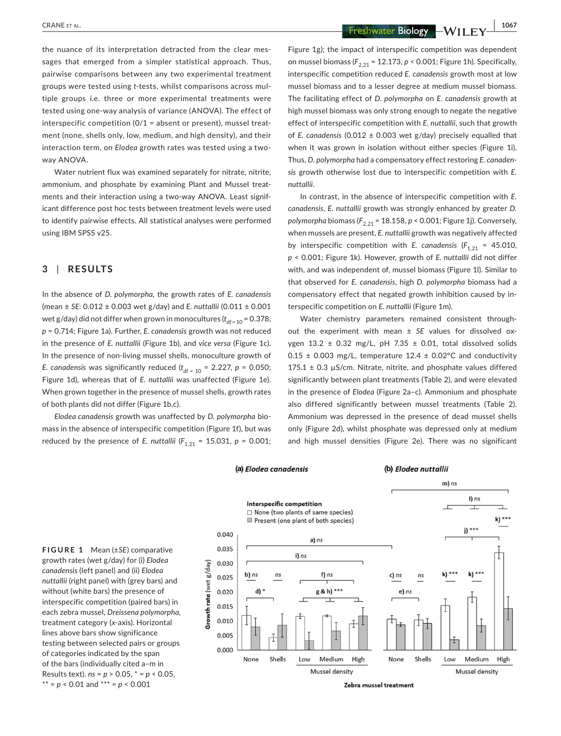the nuance of its interpretation detracted from the clear messages that emerged from a simpler statistical approach. Thus, pairwise comparisons between any two experimental treatment groups were tested using *t*-tests, whilst comparisons across multiple groups i.e. three or more experimental treatments were tested using one-way analysis of variance (ANOVA). The effect of interspecific competition (0/1 = absent or present), mussel treatment (none, shells only, low, medium, and high density), and their interaction term, on *Elodea* growth rates was tested using a twoway ANOVA.

Water nutrient flux was examined separately for nitrate, nitrite, ammonium, and phosphate by examining Plant and Mussel treatments and their interaction using a two-way ANOVA. Least significant difference post hoc tests between treatment levels were used to identify pairwise effects. All statistical analyses were performed using IBM SPSS v25.

# **3** | **RESULTS**

In the absence of *D. polymorpha,* the growth rates of *E. canadensis* (mean ± *SE*: 0.012 ± 0.003 wet g/day) and *E. nuttallii* (0.011 ± 0.001 wet g/day) did not differ when grown in monocultures ( $t_{df=10}$  = 0.378, *p* = 0.714; Figure 1a). Further, *E. canadensis* growth was not reduced in the presence of *E. nuttallii* (Figure 1b), and *vice versa* (Figure 1c). In the presence of non-living mussel shells, monoculture growth of *E. canadensis* was significantly reduced  $(t_{df = 10} = 2.227, p = 0.050;$ Figure 1d), whereas that of *E. nuttallii* was unaffected (Figure 1e). When grown together in the presence of mussel shells, growth rates of both plants did not differ (Figure 1b,c).

*Elodea canadensis* growth was unaffected by *D. polymorpha* biomass in the absence of interspecific competition (Figure 1f), but was reduced by the presence of *E. nuttallii* ( $F_{1,21}$  = 15.031,  $p$  = 0.001;

 **CRANE ET AL. 1067**<br> **1067**<br> **1067**<br> **1067**<br> **1067**<br> **1067** 

Figure 1g); the impact of interspecific competition was dependent on mussel biomass ( $F_{2,21}$  = 12.173, *p* < 0.001; Figure 1h). Specifically, interspecific competition reduced *E. canadensis* growth most at low mussel biomass and to a lesser degree at medium mussel biomass. The facilitating effect of *D. polymorpha* on *E. canadensis* growth at high mussel biomass was only strong enough to negate the negative effect of interspecific competition with *E. nuttallii*, such that growth of *E. canadensis* (0.012 ± 0.003 wet g/day) precisely equalled that when it was grown in isolation without either species (Figure 1i). Thus, *D. polymorpha* had a compensatory effect restoring *E. canadensis* growth otherwise lost due to interspecific competition with *E. nuttallii*.

In contrast, in the absence of interspecific competition with *E. canadensis*, *E. nuttallii* growth was strongly enhanced by greater *D. polymorpha* biomass ( $F_{2,21}$  = 18.158, *p* < 0.001; Figure 1j). Conversely, when mussels are present, *E. nuttallii* growth was negatively affected by interspecific competition with *E. canadensis*  $(F_{1,21} = 45.010,$ *p* < 0.001; Figure 1k). However, growth of *E. nuttallii* did not differ with, and was independent of, mussel biomass (Figure 1l). Similar to that observed for *E. canadensis*, high *D. polymorpha* biomass had a compensatory effect that negated growth inhibition caused by interspecific competition on *E. nuttallii* (Figure 1m).

Water chemistry parameters remained consistent throughout the experiment with mean ± *SE* values for dissolved oxygen 13.2  $\pm$  0.32 mg/L, pH 7.35  $\pm$  0.01, total dissolved solids 0.15  $\pm$  0.003 mg/L, temperature 12.4  $\pm$  0.02°C and conductivity  $175.1 \pm 0.3$   $\mu$ S/cm. Nitrate, nitrite, and phosphate values differed significantly between plant treatments (Table 2), and were elevated in the presence of *Elodea* (Figure 2a–c). Ammonium and phosphate also differed significantly between mussel treatments (Table 2). Ammonium was depressed in the presence of dead mussel shells only (Figure 2d), whilst phosphate was depressed only at medium and high mussel densities (Figure 2e). There was no significant

(b) Elodea nuttallii

**FIGURE 1** Mean (±*SE*) comparative growth rates (wet g/day) for (i) *Elodea canadensis* (left panel) and (ii) *Elodea nuttallii* (right panel) with (grey bars) and without (white bars) the presence of interspecific competition (paired bars) in each zebra mussel, *Dreissena polymorpha,* treatment category (*x*-axis). Horizontal lines above bars show significance testing between selected pairs or groups of categories indicated by the span of the bars (individually cited a–m in Results text). *ns* = *p* > 0.05, \* = *p* < 0.05,  $** = p < 0.01$  and  $*** = p < 0.001$ 



(a) Elodea canadensis

Zebra mussel treatment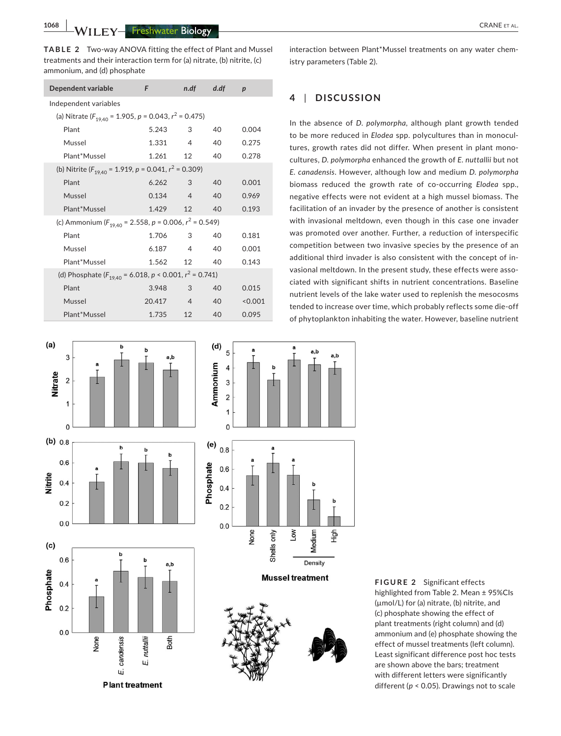**1068 WILEY-Freshwater Biology Research COVID-1008** CRANE ET AL.

**TABLE 2** Two-way ANOVA fitting the effect of Plant and Mussel treatments and their interaction term for (a) nitrate, (b) nitrite, (c) ammonium, and (d) phosphate

| Dependent variable                                                    | F         | n.df           | $d$ .df         | $\boldsymbol{p}$ |  |  |  |
|-----------------------------------------------------------------------|-----------|----------------|-----------------|------------------|--|--|--|
| Independent variables                                                 |           |                |                 |                  |  |  |  |
| (a) Nitrate ( $F_{19,40}$ = 1.905, p = 0.043, r <sup>2</sup> = 0.475) |           |                |                 |                  |  |  |  |
| Plant                                                                 | 5.243     | 3              | 40              | 0.004            |  |  |  |
| Mussel                                                                | 1.331     | 4              | 40              | 0.275            |  |  |  |
| Plant*Mussel                                                          | 1.261 12  |                | 40              | 0.278            |  |  |  |
| (b) Nitrite ( $F_{19,40}$ = 1.919, p = 0.041, $r^2$ = 0.309)          |           |                |                 |                  |  |  |  |
| Plant                                                                 | 6.262     | 3              | 40              | 0.001            |  |  |  |
| Mussel                                                                | $0.134$ 4 |                | 40              | 0.969            |  |  |  |
| Plant*Mussel                                                          | 1.429 12  |                | 40 <sup>°</sup> | 0.193            |  |  |  |
| (c) Ammonium ( $F_{19,40}$ = 2.558, p = 0.006, $r^2$ = 0.549)         |           |                |                 |                  |  |  |  |
| Plant                                                                 | 1.706     | 3              | 40              | 0.181            |  |  |  |
| Mussel                                                                | 6.187 4   |                | 40              | 0.001            |  |  |  |
| Plant*Mussel                                                          | 1.562 12  |                | 40              | 0.143            |  |  |  |
| (d) Phosphate $(F_{19,40} = 6.018, p < 0.001, r^2 = 0.741)$           |           |                |                 |                  |  |  |  |
| Plant                                                                 | 3.948     | 3              | 40              | 0.015            |  |  |  |
| Mussel                                                                | 20.417    | $\overline{4}$ | 40              | < 0.001          |  |  |  |
| Plant*Mussel                                                          | 1.735     | 12             | 40              | 0.095            |  |  |  |

 $(a)$ h  $\overline{3}$ a b **Nitrate**  $\overline{2}$  $\overline{1}$  $\Omega$  $(b) 0.8$  $\mathbf b$  $\mathbf b$  $0.6$ Vitrite  $0.4$  $0.2$  $0.0$  $(c)$ b  $0.6$ b a.b Phosphate  $0.4$  $0.2$  $0.0$ None nuttallii Both candensis Щ ωì **Plant treatment** 



**FIGURE 2** Significant effects highlighted from Table 2. Mean ± 95%CIs (µmol/L) for (a) nitrate, (b) nitrite, and (c) phosphate showing the effect of plant treatments (right column) and (d) ammonium and (e) phosphate showing the effect of mussel treatments (left column). Least significant difference post hoc tests are shown above the bars; treatment with different letters were significantly

different (*p* < 0.05). Drawings not to scale

interaction between Plant\*Mussel treatments on any water chemistry parameters (Table 2).

# **4** | **DISCUSSION**

In the absence of *D. polymorpha*, although plant growth tended to be more reduced in *Elodea* spp. polycultures than in monocultures, growth rates did not differ. When present in plant monocultures, *D. polymorpha* enhanced the growth of *E. nuttallii* but not *E. canadensis*. However, although low and medium *D. polymorpha* biomass reduced the growth rate of co-occurring *Elodea* spp., negative effects were not evident at a high mussel biomass. The facilitation of an invader by the presence of another is consistent with invasional meltdown, even though in this case one invader was promoted over another. Further, a reduction of interspecific competition between two invasive species by the presence of an additional third invader is also consistent with the concept of invasional meltdown. In the present study, these effects were associated with significant shifts in nutrient concentrations. Baseline nutrient levels of the lake water used to replenish the mesocosms tended to increase over time, which probably reflects some die-off of phytoplankton inhabiting the water. However, baseline nutrient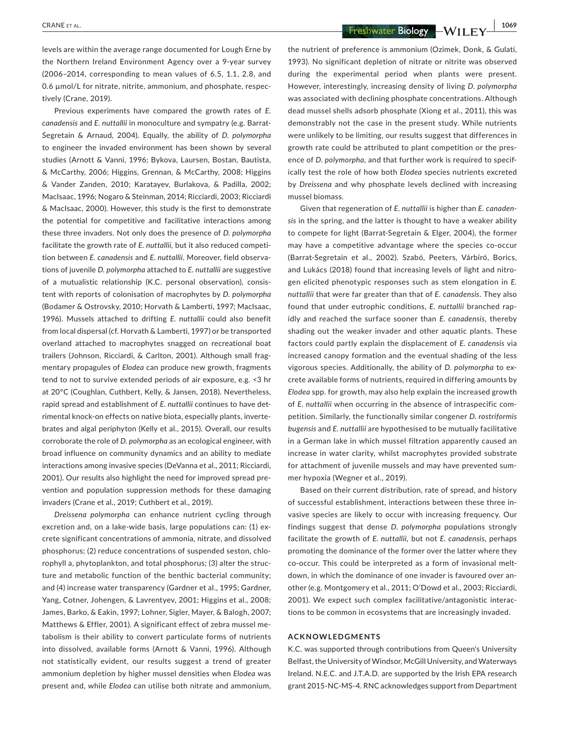**CRANE ET AL. 1069 1069 -WILEY 1069** 

levels are within the average range documented for Lough Erne by the Northern Ireland Environment Agency over a 9-year survey (2006–2014, corresponding to mean values of 6.5, 1.1, 2.8, and 0.6 umol/L for nitrate, nitrite, ammonium, and phosphate, respectively (Crane, 2019).

Previous experiments have compared the growth rates of *E. canadensis* and *E. nuttallii* in monoculture and sympatry (e.g. Barrat-Segretain & Arnaud, 2004). Equally, the ability of *D. polymorpha* to engineer the invaded environment has been shown by several studies (Arnott & Vanni, 1996; Bykova, Laursen, Bostan, Bautista, & McCarthy, 2006; Higgins, Grennan, & McCarthy, 2008; Higgins & Vander Zanden, 2010; Karatayev, Burlakova, & Padilla, 2002; MacIsaac, 1996; Nogaro & Steinman, 2014; Ricciardi, 2003; Ricciardi & MacIsaac, 2000). However, this study is the first to demonstrate the potential for competitive and facilitative interactions among these three invaders. Not only does the presence of *D. polymorpha* facilitate the growth rate of *E. nuttallii,* but it also reduced competition between *E. canadensis* and *E. nuttallii*. Moreover, field observations of juvenile *D. polymorpha* attached to *E. nuttallii* are suggestive of a mutualistic relationship (K.C. personal observation), consistent with reports of colonisation of macrophytes by *D. polymorpha* (Bodamer & Ostrovsky, 2010; Horvath & Lamberti, 1997; MacIsaac, 1996). Mussels attached to drifting *E. nuttallii* could also benefit from local dispersal (cf. Horvath & Lamberti, 1997) or be transported overland attached to macrophytes snagged on recreational boat trailers (Johnson, Ricciardi, & Carlton, 2001). Although small fragmentary propagules of *Elodea* can produce new growth, fragments tend to not to survive extended periods of air exposure, e.g. <3 hr at 20°C (Coughlan, Cuthbert, Kelly, & Jansen, 2018). Nevertheless, rapid spread and establishment of *E. nuttallii* continues to have detrimental knock-on effects on native biota, especially plants, invertebrates and algal periphyton (Kelly et al., 2015). Overall, our results corroborate the role of *D. polymorpha* as an ecological engineer, with broad influence on community dynamics and an ability to mediate interactions among invasive species (DeVanna et al., 2011; Ricciardi, 2001). Our results also highlight the need for improved spread prevention and population suppression methods for these damaging invaders (Crane et al., 2019; Cuthbert et al., 2019).

*Dreissena polymorpha* can enhance nutrient cycling through excretion and, on a lake-wide basis, large populations can: (1) excrete significant concentrations of ammonia, nitrate, and dissolved phosphorus; (2) reduce concentrations of suspended seston, chlorophyll a, phytoplankton, and total phosphorus; (3) alter the structure and metabolic function of the benthic bacterial community; and (4) increase water transparency (Gardner et al., 1995; Gardner, Yang, Cotner, Johengen, & Lavrentyev, 2001; Higgins et al., 2008; James, Barko, & Eakin, 1997; Lohner, Sigler, Mayer, & Balogh, 2007; Matthews & Effler, 2001). A significant effect of zebra mussel metabolism is their ability to convert particulate forms of nutrients into dissolved, available forms (Arnott & Vanni, 1996). Although not statistically evident, our results suggest a trend of greater ammonium depletion by higher mussel densities when *Elodea* was present and, while *Elodea* can utilise both nitrate and ammonium,

the nutrient of preference is ammonium (Ozimek, Donk, & Gulati, 1993). No significant depletion of nitrate or nitrite was observed during the experimental period when plants were present. However, interestingly, increasing density of living *D. polymorpha* was associated with declining phosphate concentrations. Although dead mussel shells adsorb phosphate (Xiong et al., 2011), this was demonstrably not the case in the present study. While nutrients were unlikely to be limiting, our results suggest that differences in growth rate could be attributed to plant competition or the presence of *D. polymorpha,* and that further work is required to specifically test the role of how both *Elodea* species nutrients excreted by *Dreissena* and why phosphate levels declined with increasing mussel biomass.

Given that regeneration of *E. nuttallii* is higher than *E. canadensis* in the spring, and the latter is thought to have a weaker ability to compete for light (Barrat-Segretain & Elger, 2004), the former may have a competitive advantage where the species co-occur (Barrat-Segretain et al., 2002). Szabó, Peeters, Várbíró, Borics, and Lukács (2018) found that increasing levels of light and nitrogen elicited phenotypic responses such as stem elongation in *E. nuttallii* that were far greater than that of *E. canadensis*. They also found that under eutrophic conditions, *E. nuttallii* branched rapidly and reached the surface sooner than *E. canadensis,* thereby shading out the weaker invader and other aquatic plants. These factors could partly explain the displacement of *E. canadensis* via increased canopy formation and the eventual shading of the less vigorous species. Additionally, the ability of *D. polymorpha* to excrete available forms of nutrients, required in differing amounts by *Elodea* spp. for growth, may also help explain the increased growth of *E. nuttallii* when occurring in the absence of intraspecific competition. Similarly, the functionally similar congener *D. rostriformis bugensis* and *E. nuttallii* are hypothesised to be mutually facilitative in a German lake in which mussel filtration apparently caused an increase in water clarity, whilst macrophytes provided substrate for attachment of juvenile mussels and may have prevented summer hypoxia (Wegner et al., 2019).

Based on their current distribution, rate of spread, and history of successful establishment, interactions between these three invasive species are likely to occur with increasing frequency. Our findings suggest that dense *D. polymorpha* populations strongly facilitate the growth of *E. nuttallii,* but not *E. canadensis*, perhaps promoting the dominance of the former over the latter where they co-occur. This could be interpreted as a form of invasional meltdown, in which the dominance of one invader is favoured over another (e.g. Montgomery et al., 2011; O'Dowd et al., 2003; Ricciardi, 2001). We expect such complex facilitative/antagonistic interactions to be common in ecosystems that are increasingly invaded.

#### **ACKNOWLEDGMENTS**

K.C. was supported through contributions from Queen's University Belfast, the University of Windsor, McGill University, and Waterways Ireland. N.E.C. and J.T.A.D. are supported by the Irish EPA research grant 2015-NC-MS-4. RNC acknowledges support from Department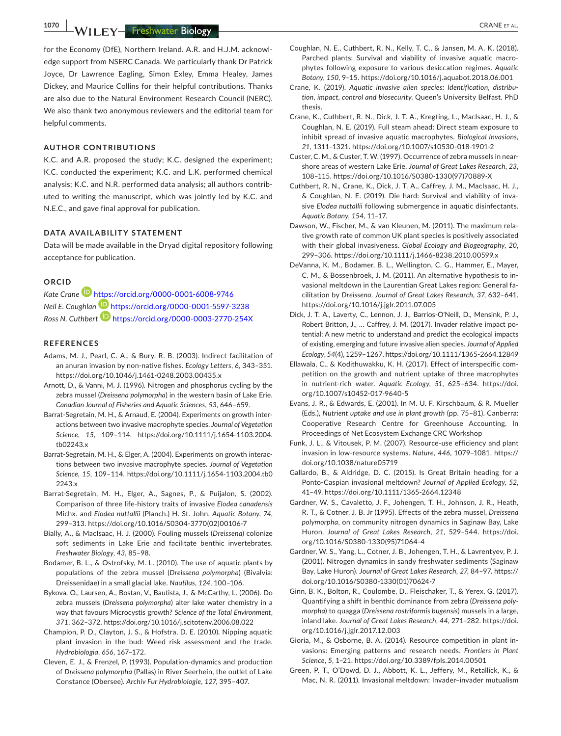**1070 WILEY Freshwater Biology Research 2008 CRANE ET AL.** 

for the Economy (DfE), Northern Ireland. A.R. and H.J.M. acknowledge support from NSERC Canada. We particularly thank Dr Patrick Joyce, Dr Lawrence Eagling, Simon Exley, Emma Healey, James Dickey, and Maurice Collins for their helpful contributions. Thanks are also due to the Natural Environment Research Council (NERC). We also thank two anonymous reviewers and the editorial team for helpful comments.

#### **AUTHOR CONTRIBUTIONS**

K.C. and A.R. proposed the study; K.C. designed the experiment; K.C. conducted the experiment; K.C. and L.K. performed chemical analysis; K.C. and N.R. performed data analysis; all authors contributed to writing the manuscript, which was jointly led by K.C. and N.E.C., and gave final approval for publication.

#### **DATA AVAILABILITY STATEMENT**

Data will be made available in the Dryad digital repository following acceptance for publication.

#### **ORCID**

*Kate Cran[e](https://orcid.org/0000-0001-6008-9746)* <https://orcid.org/0000-0001-6008-9746> *Neil E. Coughlan* <https://orcid.org/0000-0001-5597-3238> *Ross N. Cuthbert* <https://orcid.org/0000-0003-2770-254X>

#### **REFERENCES**

- Adams, M. J., Pearl, C. A., & Bury, R. B. (2003). Indirect facilitation of an anuran invasion by non-native fishes. *Ecology Letters*, *6*, 343–351. <https://doi.org/10.1046/j.1461-0248.2003.00435.x>
- Arnott, D., & Vanni, M. J. (1996). Nitrogen and phosphorus cycling by the zebra mussel (*Dreissena polymorpha*) in the western basin of Lake Erie. *Canadian Journal of Fisheries and Aquatic Sciences*, *53*, 646–659.
- Barrat-Segretain, M. H., & Arnaud, E. (2004). Experiments on growth interactions between two invasive macrophyte species. *Journal of Vegetation Science*, *15*, 109–114. [https://doi.org/10.1111/j.1654-1103.2004.](https://doi.org/10.1111/j.1654-1103.2004.tb02243.x) [tb02243.x](https://doi.org/10.1111/j.1654-1103.2004.tb02243.x)
- Barrat-Segretain, M. H., & Elger, A. (2004). Experiments on growth interactions between two invasive macrophyte species. *Journal of Vegetation Science*, *15*, 109–114. [https://doi.org/10.1111/j.1654-1103.2004.tb0](https://doi.org/10.1111/j.1654-1103.2004.tb02243.x) [2243.x](https://doi.org/10.1111/j.1654-1103.2004.tb02243.x)
- Barrat-Segretain, M. H., Elger, A., Sagnes, P., & Puijalon, S. (2002). Comparison of three life-history traits of invasive *Elodea canadensis* Michx. and *Elodea nuttallii* (Planch.) H. St. John. *Aquatic Botany*, *74*, 299–313. [https://doi.org/10.1016/S0304-3770\(02\)00106-7](https://doi.org/10.1016/S0304-3770(02)00106-7)
- Bially, A., & MacIsaac, H. J. (2000). Fouling mussels (*Dreissena*) colonize soft sediments in Lake Erie and facilitate benthic invertebrates. *Freshwater Biology*, *43*, 85–98.
- Bodamer, B. L., & Ostrofsky, M. L. (2010). The use of aquatic plants by populations of the zebra mussel (*Dreissena polymorpha*) (Bivalvia: Dreissenidae) in a small glacial lake. *Nautilus*, *124*, 100–106.
- Bykova, O., Laursen, A., Bostan, V., Bautista, J., & McCarthy, L. (2006). Do zebra mussels (*Dreissena polymorpha*) alter lake water chemistry in a way that favours Microcystis growth? *Science of the Total Environment*, *371*, 362–372.<https://doi.org/10.1016/j.scitotenv.2006.08.022>
- Champion, P. D., Clayton, J. S., & Hofstra, D. E. (2010). Nipping aquatic plant invasion in the bud: Weed risk assessment and the trade. *Hydrobiologia*, *656*, 167–172.
- Cleven, E. J., & Frenzel, P. (1993). Population-dynamics and production of *Dreissena polymorpha* (Pallas) in River Seerhein, the outlet of Lake Constance (Obersee). *Archiv Fur Hydrobiologie*, *127*, 395–407.
- Coughlan, N. E., Cuthbert, R. N., Kelly, T. C., & Jansen, M. A. K. (2018). Parched plants: Survival and viability of invasive aquatic macrophytes following exposure to various desiccation regimes. *Aquatic Botany*, *150*, 9–15.<https://doi.org/10.1016/j.aquabot.2018.06.001>
- Crane, K. (2019). *Aquatic invasive alien species: Identification, distribution, impact, control and biosecurity*. Queen's University Belfast. PhD thesis.
- Crane, K., Cuthbert, R. N., Dick, J. T. A., Kregting, L., MacIsaac, H. J., & Coughlan, N. E. (2019). Full steam ahead: Direct steam exposure to inhibit spread of invasive aquatic macrophytes. *Biological Invasions*, *21*, 1311–1321. <https://doi.org/10.1007/s10530-018-1901-2>

Custer, C. M., & Custer, T. W. (1997). Occurrence of zebra mussels in nearshore areas of western Lake Erie. *Journal of Great Lakes Research*, *23*, 108–115. [https://doi.org/10.1016/S0380-1330\(97\)70889-X](https://doi.org/10.1016/S0380-1330(97)70889-X)

- Cuthbert, R. N., Crane, K., Dick, J. T. A., Caffrey, J. M., MacIsaac, H. J., & Coughlan, N. E. (2019). Die hard: Survival and viability of invasive *Elodea nuttallii* following submergence in aquatic disinfectants. *Aquatic Botany*, *154*, 11–17.
- Dawson, W., Fischer, M., & van Kleunen, M. (2011). The maximum relative growth rate of common UK plant species is positively associated with their global invasiveness. *Global Ecology and Biogeography*, *20*, 299–306.<https://doi.org/10.1111/j.1466-8238.2010.00599.x>
- DeVanna, K. M., Bodamer, B. L., Wellington, C. G., Hammer, E., Mayer, C. M., & Bossenbroek, J. M. (2011). An alternative hypothesis to invasional meltdown in the Laurentian Great Lakes region: General facilitation by *Dreissena*. *Journal of Great Lakes Research*, *37*, 632–641. <https://doi.org/10.1016/j.jglr.2011.07.005>
- Dick, J. T. A., Laverty, C., Lennon, J. J., Barrios-O'Neill, D., Mensink, P. J., Robert Britton, J., … Caffrey, J. M. (2017). Invader relative impact potential: A new metric to understand and predict the ecological impacts of existing, emerging and future invasive alien species. *Journal of Applied Ecology*, *54*(4), 1259–1267.<https://doi.org/10.1111/1365-2664.12849>
- Ellawala, C., & Kodithuwakku, K. H. (2017). Effect of interspecific competition on the growth and nutrient uptake of three macrophytes in nutrient-rich water. *Aquatic Ecology*, *51*, 625–634. [https://doi.](https://doi.org/10.1007/s10452-017-9640-5) [org/10.1007/s10452-017-9640-5](https://doi.org/10.1007/s10452-017-9640-5)
- Evans, J. R., & Edwards, E. (2001). In M. U. F. Kirschbaum, & R. Mueller (Eds.), *Nutrient uptake and use in plant growth* (pp. 75–81). Canberra: Cooperative Research Centre for Greenhouse Accounting. In Proceedings of Net Ecosystem Exchange CRC Workshop
- Funk, J. L., & Vitousek, P. M. (2007). Resource-use efficiency and plant invasion in low-resource systems. *Nature*, *446*, 1079–1081. [https://](https://doi.org/10.1038/nature05719) [doi.org/10.1038/nature05719](https://doi.org/10.1038/nature05719)
- Gallardo, B., & Aldridge, D. C. (2015). Is Great Britain heading for a Ponto-Caspian invasional meltdown? *Journal of Applied Ecology*, *52*, 41–49. <https://doi.org/10.1111/1365-2664.12348>
- Gardner, W. S., Cavaletto, J. F., Johengen, T. H., Johnson, J. R., Heath, R. T., & Cotner, J. B. Jr (1995). Effects of the zebra mussel, *Dreissena polymorpha*, on community nitrogen dynamics in Saginaw Bay, Lake Huron. *Journal of Great Lakes Research*, *21*, 529–544. [https://doi.](https://doi.org/10.1016/S0380-1330(95)71064-4) [org/10.1016/S0380-1330\(95\)71064-4](https://doi.org/10.1016/S0380-1330(95)71064-4)
- Gardner, W. S., Yang, L., Cotner, J. B., Johengen, T. H., & Lavrentyev, P. J. (2001). Nitrogen dynamics in sandy freshwater sediments (Saginaw Bay, Lake Huron). *Journal of Great Lakes Research*, *27*, 84–97. [https://](https://doi.org/10.1016/S0380-1330(01)70624-7) [doi.org/10.1016/S0380-1330\(01\)70624-7](https://doi.org/10.1016/S0380-1330(01)70624-7)
- Ginn, B. K., Bolton, R., Coulombe, D., Fleischaker, T., & Yerex, G. (2017). Quantifying a shift in benthic dominance from zebra (*Dreissena polymorpha*) to quagga (*Dreissena rostriformis bugensis*) mussels in a large, inland lake. *Journal of Great Lakes Research*, *44*, 271–282. [https://doi.](https://doi.org/10.1016/j.jglr.2017.12.003) [org/10.1016/j.jglr.2017.12.003](https://doi.org/10.1016/j.jglr.2017.12.003)
- Gioria, M., & Osborne, B. A. (2014). Resource competition in plant invasions: Emerging patterns and research needs. *Frontiers in Plant Science*, *5*, 1–21.<https://doi.org/10.3389/fpls.2014.00501>
- Green, P. T., O'Dowd, D. J., Abbott, K. L., Jeffery, M., Retallick, K., & Mac, N. R. (2011). Invasional meltdown: Invader–invader mutualism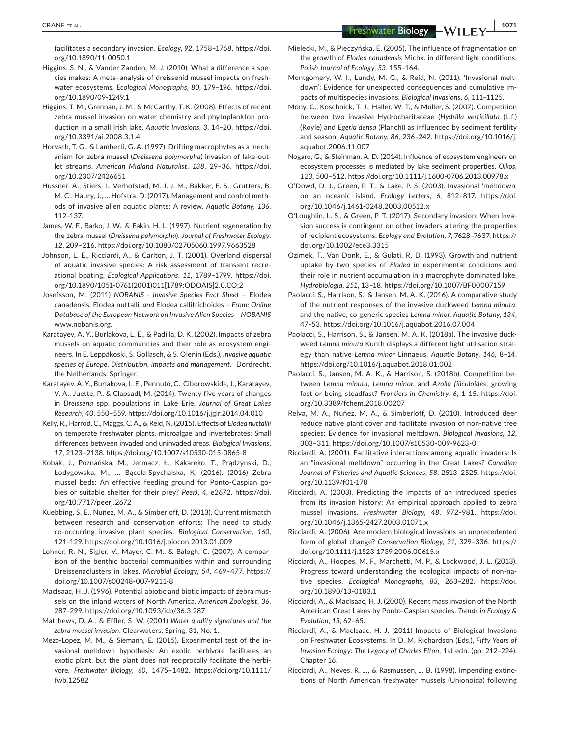**|** CRANE et al. **1071**

facilitates a secondary invasion. *Ecology*, *92*, 1758–1768. [https://doi.](https://doi.org/10.1890/11-0050.1) [org/10.1890/11-0050.1](https://doi.org/10.1890/11-0050.1)

- Higgins, S. N., & Vander Zanden, M. J. (2010). What a difference a species makes: A meta–analysis of dreissenid mussel impacts on freshwater ecosystems. *Ecological Monographs*, *80*, 179–196. [https://doi.](https://doi.org/10.1890/09-1249.1) [org/10.1890/09-1249.1](https://doi.org/10.1890/09-1249.1)
- Higgins, T. M., Grennan, J. M., & McCarthy, T. K. (2008). Effects of recent zebra mussel invasion on water chemistry and phytoplankton production in a small Irish lake. *Aquatic Invasions*, *3*, 14–20. [https://doi.](https://doi.org/10.3391/ai.2008.3.1.4) [org/10.3391/ai.2008.3.1.4](https://doi.org/10.3391/ai.2008.3.1.4)
- Horvath, T. G., & Lamberti, G. A. (1997). Drifting macrophytes as a mechanism for zebra mussel (*Dreissena polymorpha*) invasion of lake-outlet streams. *American Midland Naturalist*, *138*, 29–36. [https://doi.](https://doi.org/10.2307/2426651) [org/10.2307/2426651](https://doi.org/10.2307/2426651)
- Hussner, A., Stiers, I., Verhofstad, M. J. J. M., Bakker, E. S., Grutters, B. M. C., Haury, J., … Hofstra, D. (2017). Management and control methods of invasive alien aquatic plants: A review. *Aquatic Botany*, *136*, 112–137.
- James, W. F., Barko, J. W., & Eakin, H. L. (1997). Nutrient regeneration by the zebra mussel (*Dreissena polymorpha*). *Journal of Freshwater Ecology*, *12*, 209–216.<https://doi.org/10.1080/02705060.1997.9663528>
- Johnson, L. E., Ricciardi, A., & Carlton, J. T. (2001). Overland dispersal of aquatic invasive species: A risk assessment of transient recreational boating. *Ecological Applications*, *11*, 1789–1799. [https://doi.](https://doi.org/10.1890/1051-0761(2001)011%5B1789:ODOAIS%5D2.0.CO;2) [org/10.1890/1051-0761\(2001\)011\[1789:ODOAIS\]2.0.CO;2](https://doi.org/10.1890/1051-0761(2001)011%5B1789:ODOAIS%5D2.0.CO;2)
- Josefsson, M. (2011) *NOBANIS Invasive Species Fact Sheet* Elodea canadensis*,* Elodea nuttallii *and* Elodea callitrichoides *– From: Online Database of the European Network on Invasive Alien Species – NOBANIS* [www.nobanis.org](http://www.nobanis.org).
- Karatayev, A. Y., Burlakova, L. E., & Padilla, D. K. (2002). Impacts of zebra mussels on aquatic communities and their role as ecosystem engineers. In E. Leppäkoski, S. Gollasch, & S. Olenin (Eds.), *Invasive aquatic species of Europe. Distribution, impacts and management*. Dordrecht, the Netherlands: Springer.
- Karatayev, A. Y., Burlakova, L. E., Pennuto, C., Ciborowskide, J., Karatayev, V. A., Juette, P., & Clapsadl, M. (2014). Twenty five years of changes in *Dreissena* spp. populations in Lake Erie. *Journal of Great Lakes Research*, *40*, 550–559.<https://doi.org/10.1016/j.jglr.2014.04.010>
- Kelly, R., Harrod, C., Maggs, C. A., & Reid, N. (2015). Effects of *Elodea nuttallii* on temperate freshwater plants, microalgae and invertebrates: Small differences between invaded and uninvaded areas. *Biological Invasions*, *17*, 2123–2138. <https://doi.org/10.1007/s10530-015-0865-8>
- Kobak, J., Poznańska, M., Jermacz, Ł., Kakareko, T., Prądzynski, D., Łodygowska, M., … Bącela-Spychalska, K. (2016). (2016) Zebra mussel beds: An effective feeding ground for Ponto-Caspian gobies or suitable shelter for their prey? *PeerJ*, *4*, e2672. [https://doi.](https://doi.org/10.7717/peerj.2672) [org/10.7717/peerj.2672](https://doi.org/10.7717/peerj.2672)
- Kuebbing, S. E., Nuñez, M. A., & Simberloff, D. (2013). Current mismatch between research and conservation efforts: The need to study co-occurring invasive plant species. *Biological Conservation*, *160*, 121–129.<https://doi.org/10.1016/j.biocon.2013.01.009>
- Lohner, R. N., Sigler, V., Mayer, C. M., & Balogh, C. (2007). A comparison of the benthic bacterial communities within and surrounding Dreissenaclusters in lakes. *Microbial Ecology*, *54*, 469–477. [https://](https://doi.org/10.1007/s00248-007-9211-8) [doi.org/10.1007/s00248-007-9211-8](https://doi.org/10.1007/s00248-007-9211-8)
- MacIsaac, H. J. (1996). Potential abiotic and biotic impacts of zebra mussels on the inland waters of North America. *American Zoologist*, *36*, 287–299. <https://doi.org/10.1093/icb/36.3.287>
- Matthews, D. A., & Effler, S. W. (2001) *Water quality signatures and the zebra mussel invasion*. Clearwaters, Spring, 31, No. 1.
- Meza-Lopez, M. M., & Siemann, E. (2015). Experimental test of the invasional meltdown hypothesis: An exotic herbivore facilitates an exotic plant, but the plant does not reciprocally facilitate the herbivore. *Freshwater Biology*, *60*, 1475–1482. [https://doi.org/10.1111/](https://doi.org/10.1111/fwb.12582) [fwb.12582](https://doi.org/10.1111/fwb.12582)
- Mielecki, M., & Pieczyńska, E. (2005). The influence of fragmentation on the growth of *Elodea canadensis* Michx. in different light conditions. *Polish Journal of Ecology*, *53*, 155–164.
- Montgomery, W. I., Lundy, M. G., & Reid, N. (2011). 'Invasional meltdown': Evidence for unexpected consequences and cumulative impacts of multispecies invasions. *Biological Invasions*, *6*, 111–1125.
- Mony, C., Koschnick, T. J., Haller, W. T., & Muller, S. (2007). Competition between two invasive Hydrocharitaceae (*Hydrilla verticillata* (L.f.) (Royle) and *Egeria densa* (Planch)) as influenced by sediment fertility and season. *Aquatic Botany*, *86*, 236–242. [https://doi.org/10.1016/j.](https://doi.org/10.1016/j.aquabot.2006.11.007) [aquabot.2006.11.007](https://doi.org/10.1016/j.aquabot.2006.11.007)
- Nogaro, G., & Steinman, A. D. (2014). Influence of ecosystem engineers on ecosystem processes is mediated by lake sediment properties. *Oikos*, *123*, 500–512. <https://doi.org/10.1111/j.1600-0706.2013.00978.x>
- O'Dowd, D. J., Green, P. T., & Lake, P. S. (2003). Invasional 'meltdown' on an oceanic island. *Ecology Letters*, *6*, 812–817. [https://doi.](https://doi.org/10.1046/j.1461-0248.2003.00512.x) [org/10.1046/j.1461-0248.2003.00512.x](https://doi.org/10.1046/j.1461-0248.2003.00512.x)
- O'Loughlin, L. S., & Green, P. T. (2017). Secondary invasion: When invasion success is contingent on other invaders altering the properties of recipient ecosystems. *Ecology and Evolution*, *7*, 7628–7637. [https://](https://doi.org/10.1002/ece3.3315) [doi.org/10.1002/ece3.3315](https://doi.org/10.1002/ece3.3315)
- Ozimek, T., Van Donk, E., & Gulati, R. D. (1993). Growth and nutrient uptake by two species of *Elodea* in experimental conditions and their role in nutrient accumulation in a macrophyte dominated lake. *Hydrobiologia*, *251*, 13–18.<https://doi.org/10.1007/BF00007159>
- Paolacci, S., Harrison, S., & Jansen, M. A. K. (2016). A comparative study of the nutrient responses of the invasive duckweed *Lemna minuta*, and the native, co-generic species *Lemna minor*. *Aquatic Botany*, *134*, 47–53. <https://doi.org/10.1016/j.aquabot.2016.07.004>
- Paolacci, S., Harrison, S., & Jansen, M. A. K. (2018a). The invasive duckweed *Lemna minuta* Kunth displays a different light utilisation strategy than native *Lemna minor* Linnaeus. *Aquatic Botany*, *146*, 8–14. <https://doi.org/10.1016/j.aquabot.2018.01.002>
- Paolacci, S., Jansen, M. A. K., & Harrison, S. (2018b). Competition between *Lemna minuta*, *Lemna minor*, and *Azolla filiculoides*. growing fast or being steadfast? *Frontiers in Chemistry*, *6*, 1–15. [https://doi.](https://doi.org/10.3389/fchem.2018.00207) [org/10.3389/fchem.2018.00207](https://doi.org/10.3389/fchem.2018.00207)
- Relva, M. A., Nuñez, M. A., & Simberloff, D. (2010). Introduced deer reduce native plant cover and facilitate invasion of non-native tree species: Evidence for invasional meltdown. *Biological Invasions*, *12*, 303–311.<https://doi.org/10.1007/s10530-009-9623-0>
- Ricciardi, A. (2001). Facilitative interactions among aquatic invaders: Is an "invasional meltdown" occurring in the Great Lakes? *Canadian Journal of Fisheries and Aquatic Sciences*, *58*, 2513–2525. [https://doi.](https://doi.org/10.1139/f01-178) [org/10.1139/f01-178](https://doi.org/10.1139/f01-178)
- Ricciardi, A. (2003). Predicting the impacts of an introduced species from its invasion history: An empirical approach applied to zebra mussel invasions. *Freshwater Biology*, *48*, 972–981. [https://doi.](https://doi.org/10.1046/j.1365-2427.2003.01071.x) [org/10.1046/j.1365-2427.2003.01071.x](https://doi.org/10.1046/j.1365-2427.2003.01071.x)
- Ricciardi, A. (2006). Are modern biological invasions an unprecedented form of global change? *Conservation Biology*, *21*, 329–336. [https://](https://doi.org/10.1111/j.1523-1739.2006.00615.x) [doi.org/10.1111/j.1523-1739.2006.00615.x](https://doi.org/10.1111/j.1523-1739.2006.00615.x)
- Ricciardi, A., Hoopes, M. F., Marchetti, M. P., & Lockwood, J. L. (2013). Progress toward understanding the ecological impacts of non-native species. *Ecological Monographs*, *83*, 263–282. [https://doi.](https://doi.org/10.1890/13-0183.1) [org/10.1890/13-0183.1](https://doi.org/10.1890/13-0183.1)
- Ricciardi, A., & MacIsaac, H. J. (2000). Recent mass invasion of the North American Great Lakes by Ponto-Caspian species. *Trends in Ecology & Evolution*, *15*, 62–65.
- Ricciardi, A., & MacIsaac, H. J. (2011) Impacts of Biological Invasions on Freshwater Ecosystems. In D. M. Richardson (Eds.), *Fifty Years of Invasion Ecology: The Legacy of Charles Elton*, 1st edn. (pp. 212–224). Chapter 16.
- Ricciardi, A., Neves, R. J., & Rasmussen, J. B. (1998). Impending extinctions of North American freshwater mussels (Unionoida) following